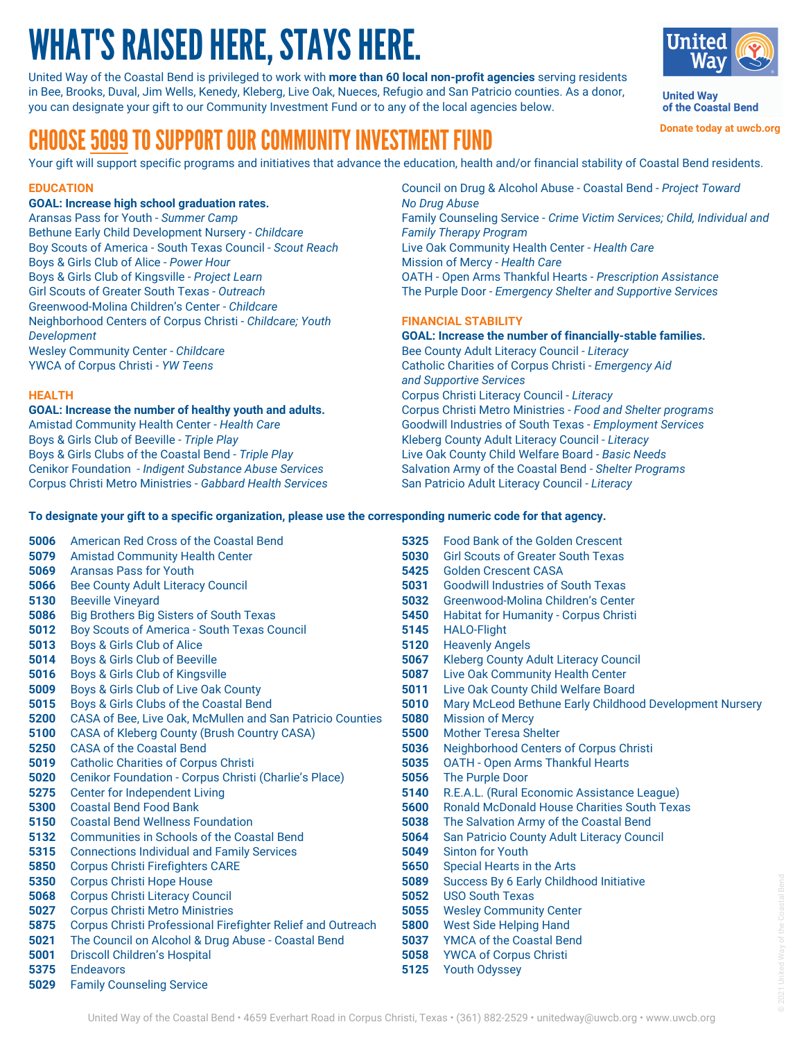# WHAT'S RAISED HERE, STAYS HERE.

United Way of the Coastal Bend is privileged to work with **more than 60 local non-profit agencies** serving residents in Bee, Brooks, Duval, Jim Wells, Kenedy, Kleberg, Live Oak, Nueces, Refugio and San Patricio counties. As a donor, you can designate your gift to our Community Investment Fund or to any of the local agencies below.



**United Way** of the Coastal Bend

**Donate today at uwcb.org**

# CHOOSE 5099 TO SUPPORT OUR COMMUNITY INVESTMENT FUND

Your gift will support specific programs and initiatives that advance the education, health and/or financial stability of Coastal Bend residents.

# **EDUCATION**

# **GOAL: Increase high school graduation rates.**

Aransas Pass for Youth - *Summer Camp* Bethune Early Child Development Nursery - *Childcare* Boy Scouts of America - South Texas Council - *Scout Reach* Boys & Girls Club of Alice - *Power Hour* Boys & Girls Club of Kingsville - *Project Learn* Girl Scouts of Greater South Texas - *Outreach* Greenwood-Molina Children's Center - *Childcare* Neighborhood Centers of Corpus Christi - *Childcare; Youth Development* Wesley Community Center - *Childcare* YWCA of Corpus Christi - *YW Teens*

## **HEALTH**

**GOAL: Increase the number of healthy youth and adults.** Amistad Community Health Center - *Health Care* Boys & Girls Club of Beeville - *Triple Play* Boys & Girls Clubs of the Coastal Bend - *Triple Play* Cenikor Foundation - *Indigent Substance Abuse Services* Corpus Christi Metro Ministries - *Gabbard Health Services* Council on Drug & Alcohol Abuse - Coastal Bend - *Project Toward No Drug Abuse* Family Counseling Service - *Crime Victim Services; Child, Individual and Family Therapy Program* Live Oak Community Health Center - *Health Care* Mission of Mercy - *Health Care* OATH - Open Arms Thankful Hearts - *Prescription Assistance* The Purple Door - *Emergency Shelter and Supportive Services*

# **FINANCIAL STABILITY**

**GOAL: Increase the number of financially-stable families.** Bee County Adult Literacy Council - *Literacy* Catholic Charities of Corpus Christi - *Emergency Aid and Supportive Services* Corpus Christi Literacy Council - *Literacy* Corpus Christi Metro Ministries - *Food and Shelter programs* Goodwill Industries of South Texas - *Employment Services* Kleberg County Adult Literacy Council - *Literacy* Live Oak County Child Welfare Board - *Basic Needs* Salvation Army of the Coastal Bend - *Shelter Programs* San Patricio Adult Literacy Council - *Literacy*

## To designate your gift to a specific organization, please use the corresponding numeric code for that agency.

- American Red Cross of the Coastal Bend **5006** Amistad Community Health Center **5079 5069** Aransas Pass for Youth **5066** Bee County Adult Literacy Council **5130** Beeville Vineyard Big Brothers Big Sisters of South Texas Boy Scouts of America - South Texas Council Boys & Girls Club of Alice Boys & Girls Club of Beeville Boys & Girls Club of Kingsville Boys & Girls Club of Live Oak County Boys & Girls Clubs of the Coastal Bend CASA of Bee, Live Oak, McMullen and San Patricio Counties **5200** CASA of Kleberg County (Brush Country CASA) **5100** CASA of the Coastal Bend **5250 5019** Catholic Charities of Corpus Christi Cenikor Foundation - Corpus Christi (Charlie's Place) **5020 5275** Center for Independent Living Coastal Bend Food Bank **5300** Coastal Bend Wellness Foundation Communities in Schools of the Coastal Bend Connections Individual and Family Services Corpus Christi Firefighters CARE Corpus Christi Hope House Corpus Christi Literacy Council Corpus Christi Metro Ministries Corpus Christi Professional Firefighter Relief and Outreach **5021** The Council on Alcohol & Drug Abuse - Coastal Bend Driscoll Children's Hospital Endeavors Family Counseling Service **5029 5086 5012 5013 5014 5016 5009 5015 5150 5132 5315 5850 5350 5068 5027 5875 5001 5375**
	- Food Bank of the Golden Crescent Girl Scouts of Greater South Texas Golden Crescent CASA Goodwill Industries of South Texas Greenwood-Molina Children's Center Habitat for Humanity - Corpus Christi HALO-Flight Heavenly Angels Kleberg County Adult Literacy Council Live Oak Community Health Center Live Oak County Child Welfare Board Mary McLeod Bethune Early Childhood Development Nursery Mission of Mercy Mother Teresa Shelter Neighborhood Centers of Corpus Christi OATH - Open Arms Thankful Hearts The Purple Door R.E.A.L. (Rural Economic Assistance League) Ronald McDonald House Charities South Texas The Salvation Army of the Coastal Bend San Patricio County Adult Literacy Council Sinton for Youth Special Hearts in the Arts Success By 6 Early Childhood Initiative USO South Texas Wesley Community Center West Side Helping Hand YMCA of the Coastal Bend YWCA of Corpus Christi Youth Odyssey **5325 5030 5425 5031 5032 5450 5145 5120 5067 5087 5011 5010 5080 5500 5036 5035 5056 5140 5600 5038 5064 5049 5650 5089 5052 5055 5800 5037 5058 5125**